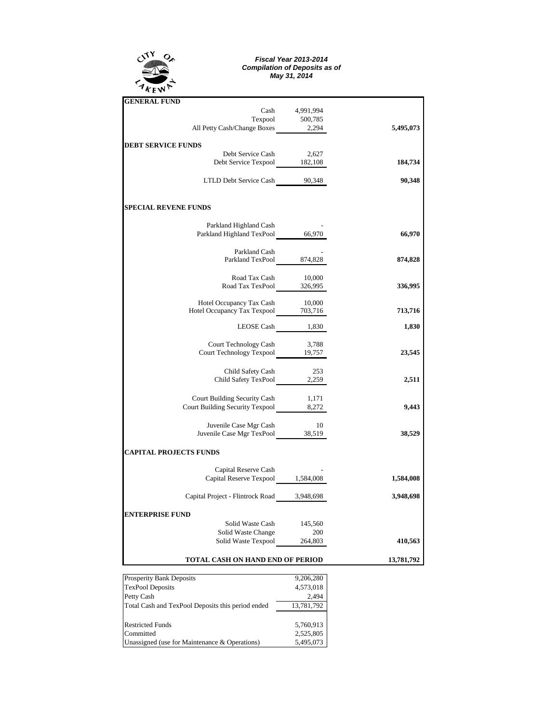

## *Fiscal Year 2013-2014 Compilation of Deposits as of May 31, 2014*

| <b>GENERAL FUND</b>                                                               |                    |            |
|-----------------------------------------------------------------------------------|--------------------|------------|
|                                                                                   | Cash 4,991,994     |            |
| Texpool 500,785<br>All Petty Cash/Change Boxes 2,294                              |                    |            |
|                                                                                   |                    | 5,495,073  |
| <b>DEBT SERVICE FUNDS</b>                                                         |                    |            |
|                                                                                   |                    |            |
| Debt Service Cash 2,627<br>Debt Service Texpool 182,108                           |                    | 184,734    |
|                                                                                   |                    |            |
| LTLD Debt Service Cash 90,348                                                     |                    | 90,348     |
| <b>SPECIAL REVENE FUNDS</b>                                                       |                    |            |
|                                                                                   |                    |            |
| Parkland Highland Cash                                                            |                    |            |
| Parkland Highland TexPool 66,970                                                  |                    | 66,970     |
| Parkland Cash                                                                     |                    |            |
| Parkland TexPool 874,828                                                          |                    | 874,828    |
|                                                                                   |                    |            |
| Road Tax Cash                                                                     | 10,000             |            |
| Road Tax TexPool 326,995                                                          |                    | 336,995    |
|                                                                                   |                    |            |
| Hotel Occupancy Tax Cash 10,000<br>Hotel Occupancy Tax Texpool 703,716            |                    | 713,716    |
|                                                                                   |                    |            |
|                                                                                   | LEOSE Cash $1,830$ | 1,830      |
|                                                                                   |                    |            |
| Court Technology Cash 3,788<br>Court Technology Texpool 19,757                    |                    | 23,545     |
|                                                                                   |                    |            |
| Child Safety Cash                                                                 | 253                |            |
| Child Safety TexPool 2,259                                                        |                    | 2,511      |
|                                                                                   |                    |            |
| Court Building Security Cash<br>Court Building Security Texpool 8,272             | 1,171              |            |
|                                                                                   |                    | 9,443      |
| Juvenile Case Mgr Cash                                                            | - 10               |            |
| Juvenile Case Mgr TexPool 38,519                                                  |                    | 38,529     |
| <b>CAPITAL PROJECTS FUNDS</b>                                                     |                    |            |
|                                                                                   |                    |            |
| Capital Reserve Cash<br>Capital Reserve Cash<br>Capital Reserve Texpool 1,584,008 |                    | 1,584,008  |
|                                                                                   |                    |            |
| Capital Project - Flintrock Road 3,948,698                                        |                    | 3,948,698  |
| <b>ENTERPRISE FUND</b>                                                            |                    |            |
| Solid Waste Cash                                                                  | 145,560            |            |
|                                                                                   |                    |            |
| Solid Waste Change 200<br>Solid Waste Texpool 264,803                             |                    | 410,563    |
| <b>TOTAL CASH ON HAND END OF PERIOD</b>                                           |                    | 13,781,792 |
|                                                                                   |                    |            |

| <b>Prosperity Bank Deposits</b>                   | 9,206,280  |
|---------------------------------------------------|------------|
| <b>TexPool Deposits</b>                           | 4,573,018  |
| Petty Cash                                        | 2.494      |
| Total Cash and TexPool Deposits this period ended | 13,781,792 |
|                                                   |            |
| <b>Restricted Funds</b>                           | 5,760,913  |
| Committed                                         | 2,525,805  |
| Unassigned (use for Maintenance & Operations)     | 5,495,073  |